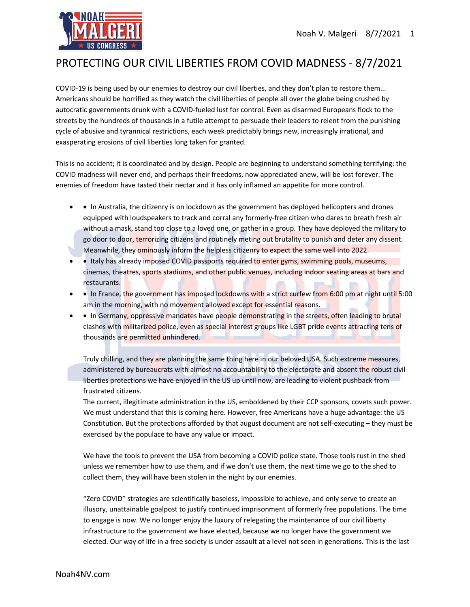

## PROTECTING OUR CIVIL LIBERTIES FROM COVID MADNESS - 8/7/2021

COVID-19 is being used by our enemies to destroy our civil liberties, and they don't plan to restore them... Americans should be horrified as they watch the civil liberties of people all over the globe being crushed by autocratic governments drunk with a COVID-fueled lust for control. Even as disarmed Europeans flock to the streets by the hundreds of thousands in a futile attempt to persuade their leaders to relent from the punishing cycle of abusive and tyrannical restrictions, each week predictably brings new, increasingly irrational, and exasperating erosions of civil liberties long taken for granted.

This is no accident; it is coordinated and by design. People are beginning to understand something terrifying: the COVID madness will never end, and perhaps their freedoms, now appreciated anew, will be lost forever. The enemies of freedom have tasted their nectar and it has only inflamed an appetite for more control.

- In Australia, the citizenry is on lockdown as the government has deployed helicopters and drones equipped with loudspeakers to track and corral any formerly-free citizen who dares to breath fresh air without a mask, stand too close to a loved one, or gather in a group. They have deployed the military to go door to door, terrorizing citizens and routinely meting out brutality to punish and deter any dissent. Meanwhile, they ominously inform the helpless citizenry to expect the same well into 2022.
- • Italy has already imposed COVID passports required to enter gyms, swimming pools, museums, cinemas, theatres, sports stadiums, and other public venues, including indoor seating areas at bars and restaurants.
- • In France, the government has imposed lockdowns with a strict curfew from 6:00 pm at night until 5:00 am in the morning, with no movement allowed except for essential reasons.
- In Germany, oppressive mandates have people demonstrating in the streets, often leading to brutal clashes with militarized police, even as special interest groups like LGBT pride events attracting tens of thousands are permitted unhindered.

Truly chilling, and they are planning the same thing here in our beloved USA. Such extreme measures, administered by bureaucrats with almost no accountability to the electorate and absent the robust civil liberties protections we have enjoyed in the US up until now, are leading to violent pushback from frustrated citizens.

The current, illegitimate administration in the US, emboldened by their CCP sponsors, covets such power. We must understand that this is coming here. However, free Americans have a huge advantage: the US Constitution. But the protections afforded by that august document are not self-executing – they must be exercised by the populace to have any value or impact.

We have the tools to prevent the USA from becoming a COVID police state. Those tools rust in the shed unless we remember how to use them, and if we don't use them, the next time we go to the shed to collect them, they will have been stolen in the night by our enemies.

"Zero COVID" strategies are scientifically baseless, impossible to achieve, and only serve to create an illusory, unattainable goalpost to justify continued imprisonment of formerly free populations. The time to engage is now. We no longer enjoy the luxury of relegating the maintenance of our civil liberty infrastructure to the government we have elected, because we no longer have the government we elected. Our way of life in a free society is under assault at a level not seen in generations. This is the last